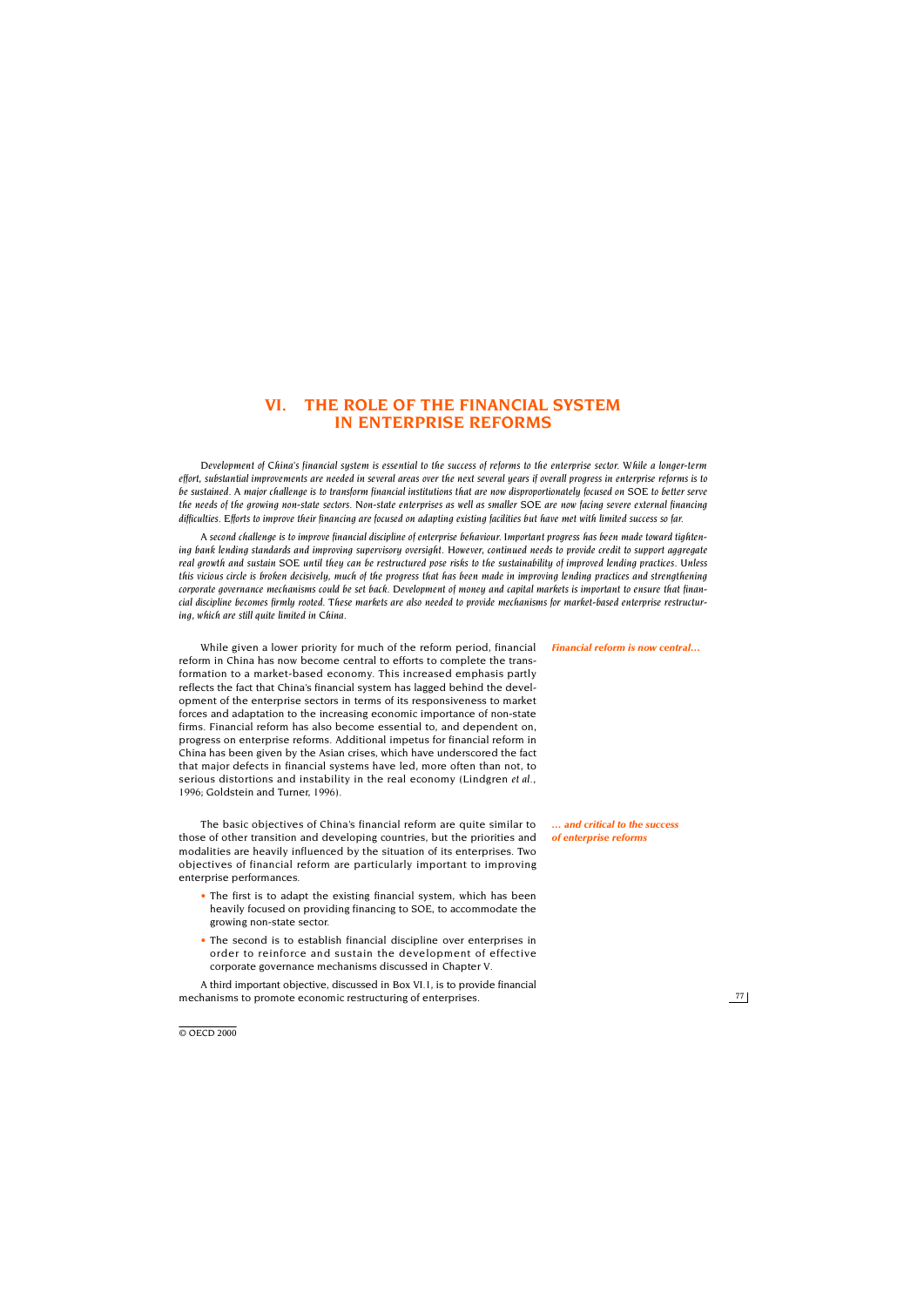# **VI. THE ROLE OF THE FINANCIAL SYSTEM IN ENTERPRISE REFORMS**

*Development of China's financial system is essential to the success of reforms to the enterprise sector. While a longer-term effort, substantial improvements are needed in several areas over the next several years if overall progress in enterprise reforms is to be sustained. A major challenge is to transform financial institutions that are now disproportionately focused on SOE to better serve the needs of the growing non-state sectors. Non-state enterprises as well as smaller SOE are now facing severe external financing difficulties. Efforts to improve their financing are focused on adapting existing facilities but have met with limited success so far.*

*A second challenge is to improve financial discipline of enterprise behaviour. Important progress has been made toward tightening bank lending standards and improving supervisory oversight. However, continued needs to provide credit to support aggregate real growth and sustain SOE until they can be restructured pose risks to the sustainability of improved lending practices. Unless this vicious circle is broken decisively, much of the progress that has been made in improving lending practices and strengthening corporate governance mechanisms could be set back. Development of money and capital markets is important to ensure that financial discipline becomes firmly rooted. These markets are also needed to provide mechanisms for market-based enterprise restructuring, which are still quite limited in China.*

While given a lower priority for much of the reform period, financial **Financial reform is now central...** reform in China has now become central to efforts to complete the transformation to a market-based economy. This increased emphasis partly reflects the fact that China's financial system has lagged behind the development of the enterprise sectors in terms of its responsiveness to market forces and adaptation to the increasing economic importance of non-state firms. Financial reform has also become essential to, and dependent on, progress on enterprise reforms. Additional impetus for financial reform in China has been given by the Asian crises, which have underscored the fact that major defects in financial systems have led, more often than not, to serious distortions and instability in the real economy (Lindgren *et al.*, 1996; Goldstein and Turner, 1996).

The basic objectives of China's financial reform are quite similar to those of other transition and developing countries, but the priorities and modalities are heavily influenced by the situation of its enterprises. Two objectives of financial reform are particularly important to improving enterprise performances.

- The first is to adapt the existing financial system, which has been heavily focused on providing financing to SOE, to accommodate the growing non-state sector.
- The second is to establish financial discipline over enterprises in order to reinforce and sustain the development of effective corporate governance mechanisms discussed in Chapter V.

A third important objective, discussed in Box VI.1, is to provide financial mechanisms to promote economic restructuring of enterprises.

*… and critical to the success of enterprise reforms*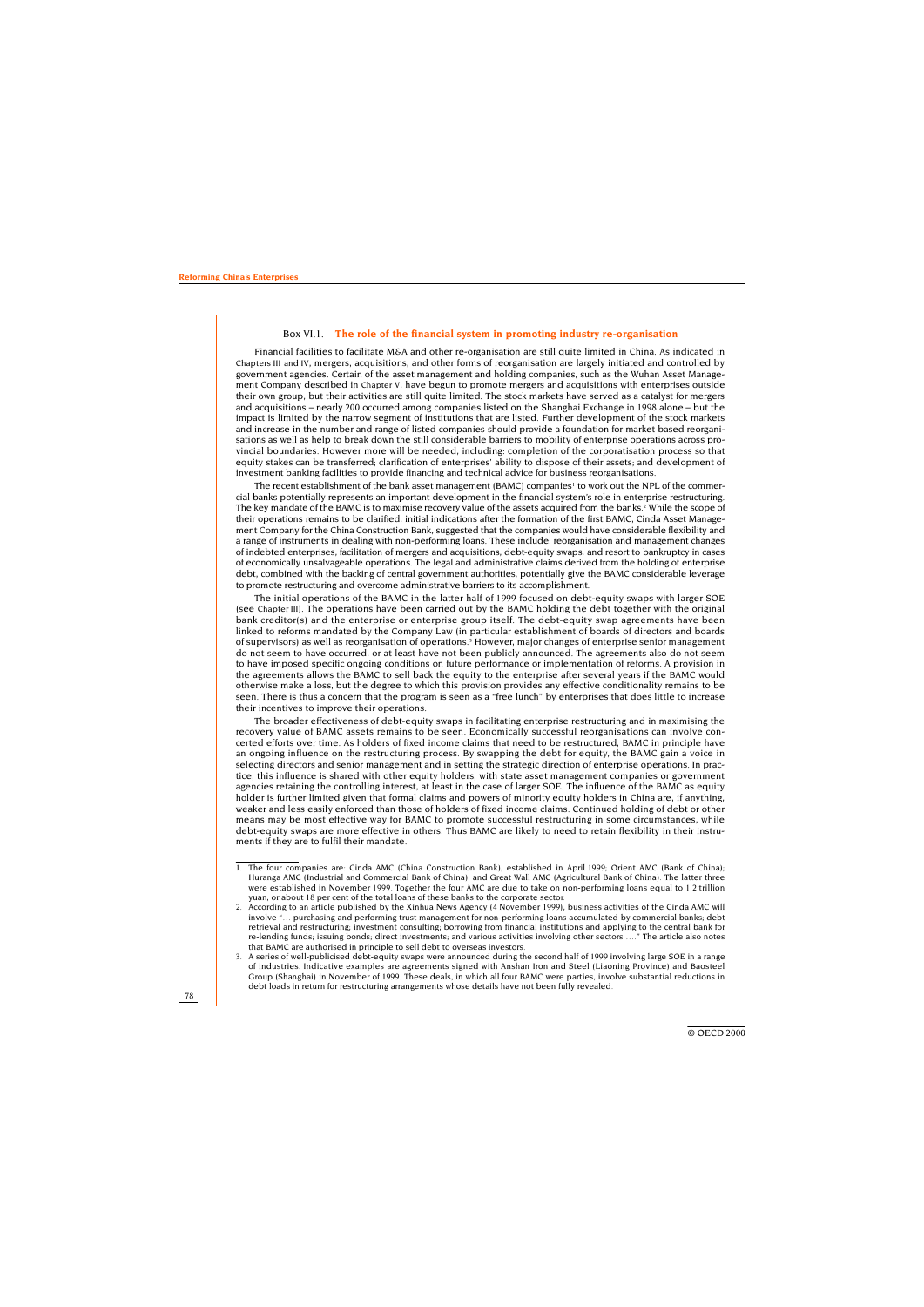### Box VI.1. **The role of the financial system in promoting industry re-organisation**

Financial facilities to facilitate M&A and other re-organisation are still quite limited in China. As indicated in Chapters III and IV, mergers, acquisitions, and other forms of reorganisation are largely initiated and controlled by government agencies. Certain of the asset management and holding companies, such as the Wuhan Asset Management Company described in Chapter V, have begun to promote mergers and acquisitions with enterprises outside their own group, but their activities are still quite limited. The stock markets have served as a catalyst for mergers and acquisitions – nearly 200 occurred among companies listed on the Shanghai Exchange in 1998 alone – but the impact is limited by the narrow segment of institutions that are listed. Further development of the stock markets and increase in the number and range of listed companies should provide a foundation for market based reorganisations as well as help to break down the still considerable barriers to mobility of enterprise operations across provincial boundaries. However more will be needed, including: completion of the corporatisation process so that equity stakes can be transferred; clarification of enterprises' ability to dispose of their assets; and development of investment banking facilities to provide financing and technical advice for business reorganisations.

The recent establishment of the bank asset management (BAMC) companies<sup>1</sup> to work out the NPL of the commercial banks potentially represents an important development in the financial system's role in enterprise restructuring. The key mandate of the BAMC is to maximise recovery value of the assets acquired from the banks.<sup>2</sup> While the scope of their operations remains to be clarified, initial indications after the formation of the first BAMC, Cinda Asset Management Company for the China Construction Bank, suggested that the companies would have considerable flexibility and a range of instruments in dealing with non-performing loans. These include: reorganisation and management changes of indebted enterprises, facilitation of mergers and acquisitions, debt-equity swaps, and resort to bankruptcy in cases of economically unsalvageable operations. The legal and administrative claims derived from the holding of enterprise debt, combined with the backing of central government authorities, potentially give the BAMC considerable leverage to promote restructuring and overcome administrative barriers to its accomplishment.

The initial operations of the BAMC in the latter half of 1999 focused on debt-equity swaps with larger SOE (see Chapter III). The operations have been carried out by the BAMC holding the debt together with the original bank creditor(s) and the enterprise or enterprise group itself. The debt-equity swap agreements have been linked to reforms mandated by the Company Law (in particular establishment of boards of directors and boards of supervisors) as well as reorganisation of operations.<sup>3</sup> However, major changes of enterprise senior management do not seem to have occurred, or at least have not been publicly announced. The agreements also do not seem to have imposed specific ongoing conditions on future performance or implementation of reforms. A provision in the agreements allows the BAMC to sell back the equity to the enterprise after several years if the BAMC would otherwise make a loss, but the degree to which this provision provides any effective conditionality remains to be seen. There is thus a concern that the program is seen as a "free lunch" by enterprises that does little to increase their incentives to improve their operations.

The broader effectiveness of debt-equity swaps in facilitating enterprise restructuring and in maximising the recovery value of BAMC assets remains to be seen. Economically successful reorganisations can involve concerted efforts over time. As holders of fixed income claims that need to be restructured, BAMC in principle have an ongoing influence on the restructuring process. By swapping the debt for equity, the BAMC gain a voice in selecting directors and senior management and in setting the strategic direction of enterprise operations. In practice, this influence is shared with other equity holders, with state asset management companies or government agencies retaining the controlling interest, at least in the case of larger SOE. The influence of the BAMC as equity holder is further limited given that formal claims and powers of minority equity holders in China are, if anything, weaker and less easily enforced than those of holders of fixed income claims. Continued holding of debt or other means may be most effective way for BAMC to promote successful restructuring in some circumstances, while debt-equity swaps are more effective in others. Thus BAMC are likely to need to retain flexibility in their instruments if they are to fulfil their mandate.

<sup>1.</sup> The four companies are: Cinda AMC (China Construction Bank), established in April 1999; Orient AMC (Bank of China); Huranga AMC (Industrial and Commercial Bank of China); and Great Wall AMC (Agricultural Bank of China). The latter three were established in November 1999. Together the four AMC are due to take on non-performing loans equal to 1.2 trillion yuan, or about 18 per cent of the total loans of these banks to the corporate sector.

<sup>2.</sup> According to an article published by the Xinhua News Agency (4 November 1999), business activities of the Cinda AMC will involve "… purchasing and performing trust management for non-performing loans accumulated by commercial banks; debt retrieval and restructuring; investment consulting; borrowing from financial institutions and applying to the central bank for re-lending funds; issuing bonds; direct investments; and various activities involving other sectors …." The article also notes that BAMC are authorised in principle to sell debt to overseas investors.

<sup>3.</sup> A series of well-publicised debt-equity swaps were announced during the second half of 1999 involving large SOE in a range of industries. Indicative examples are agreements signed with Anshan Iron and Steel (Liaoning Province) and Baosteel Group (Shanghai) in November of 1999. These deals, in which all four BAMC were parties, involve substantial reductions in debt loads in return for restructuring arrangements whose details have not been fully revealed.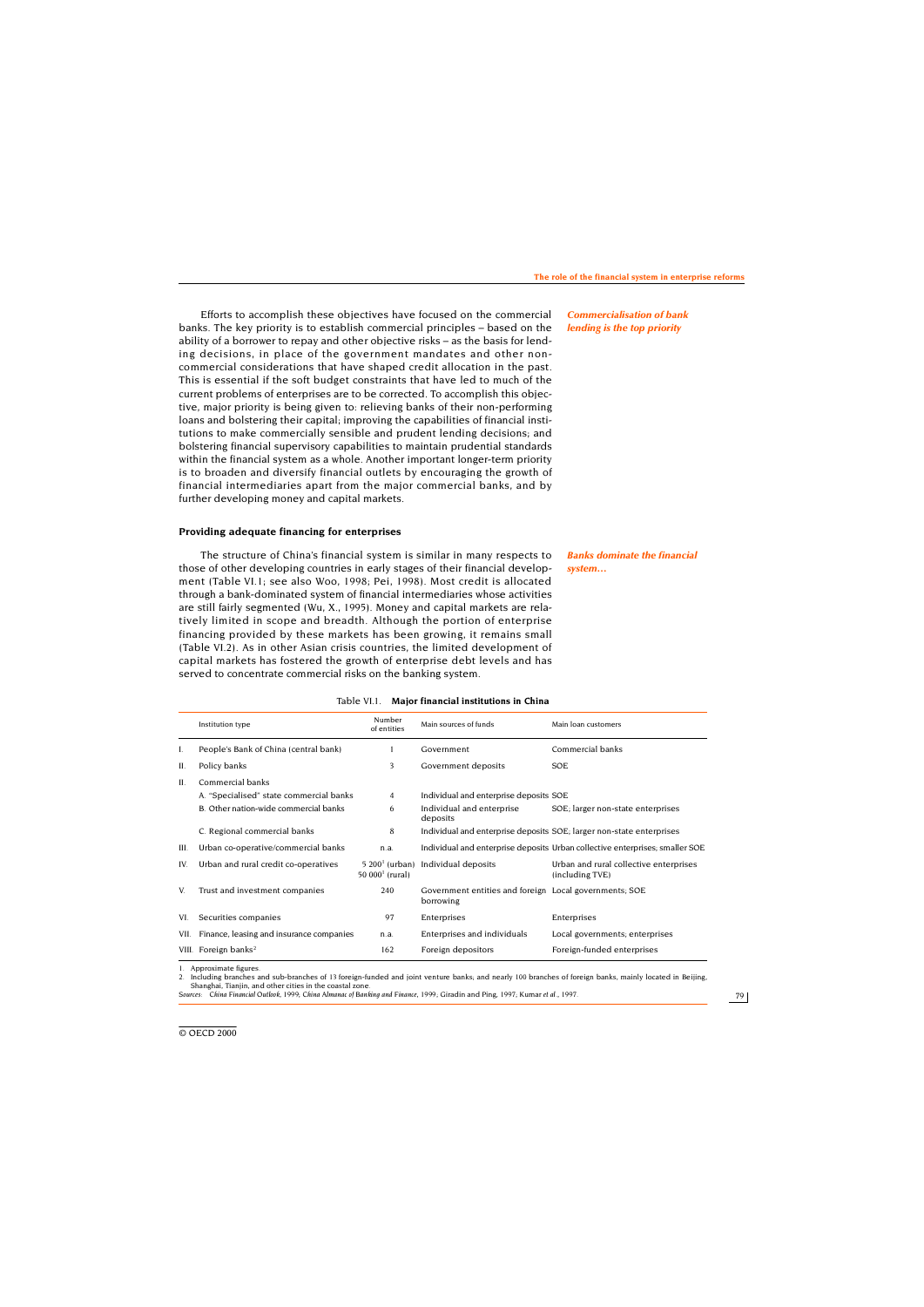Efforts to accomplish these objectives have focused on the commercial banks. The key priority is to establish commercial principles – based on the ability of a borrower to repay and other objective risks – as the basis for lending decisions, in place of the government mandates and other noncommercial considerations that have shaped credit allocation in the past. This is essential if the soft budget constraints that have led to much of the current problems of enterprises are to be corrected. To accomplish this objective, major priority is being given to: relieving banks of their non-performing loans and bolstering their capital; improving the capabilities of financial institutions to make commercially sensible and prudent lending decisions; and bolstering financial supervisory capabilities to maintain prudential standards within the financial system as a whole. Another important longer-term priority is to broaden and diversify financial outlets by encouraging the growth of financial intermediaries apart from the major commercial banks, and by further developing money and capital markets.

# **Providing adequate financing for enterprises**

The structure of China's financial system is similar in many respects to those of other developing countries in early stages of their financial development (Table VI.1; see also Woo, 1998; Pei, 1998). Most credit is allocated through a bank-dominated system of financial intermediaries whose activities are still fairly segmented (Wu, X., 1995). Money and capital markets are relatively limited in scope and breadth. Although the portion of enterprise financing provided by these markets has been growing, it remains small (Table VI.2). As in other Asian crisis countries, the limited development of capital markets has fostered the growth of enterprise debt levels and has served to concentrate commercial risks on the banking system.

| <b>Commercialisation of bank</b> |
|----------------------------------|
| lending is the top priority      |

*Banks dominate the financial system…*

|      | Institution type                         | Number<br>of entities        | Main sources of funds                                               | Main loan customers                                                          |
|------|------------------------------------------|------------------------------|---------------------------------------------------------------------|------------------------------------------------------------------------------|
| I.   | People's Bank of China (central bank)    |                              | Government                                                          | Commercial banks                                                             |
| II.  | Policy banks                             | 3                            | Government deposits                                                 | <b>SOE</b>                                                                   |
| П.   | Commercial banks                         |                              |                                                                     |                                                                              |
|      | A. "Specialised" state commercial banks  | 4                            | Individual and enterprise deposits SOE                              |                                                                              |
|      | B. Other nation-wide commercial banks    | 6                            | Individual and enterprise<br>deposits                               | SOE; larger non-state enterprises                                            |
|      | C. Regional commercial banks             | 8                            |                                                                     | Individual and enterprise deposits SOE; larger non-state enterprises         |
| III. | Urban co-operative/commercial banks      | n.a.                         |                                                                     | Individual and enterprise deposits Urban collective enterprises; smaller SOE |
| IV.  | Urban and rural credit co-operatives     | $50000$ <sup>1</sup> (rural) | 5 200 <sup>1</sup> (urban) Individual deposits                      | Urban and rural collective enterprises<br>(including TVE)                    |
| V.   | Trust and investment companies           | 240                          | Government entities and foreign Local governments; SOE<br>borrowing |                                                                              |
| VI.  | Securities companies                     | 97                           | Enterprises                                                         | Enterprises                                                                  |
| VII. | Finance, leasing and insurance companies | n.a.                         | Enterprises and individuals                                         | Local governments; enterprises                                               |
|      | VIII. Foreign banks <sup>2</sup>         | 162                          | Foreign depositors                                                  | Foreign-funded enterprises                                                   |

Table VI.1. **Major financial institutions in China**

1. Approximate figures.

2. Including branches and sub-branches of 13 foreign-funded and joint venture banks; and nearly 100 branches of foreign banks, mainly located in Beijing, Shanghai, Tianjin, and other cities in the coastal zone.

*Sources: China Financial Outlook, 1999; China Almanac of Banking and Finance, 1999*; Giradin and Ping, 1997; Kumar *et al*., 1997.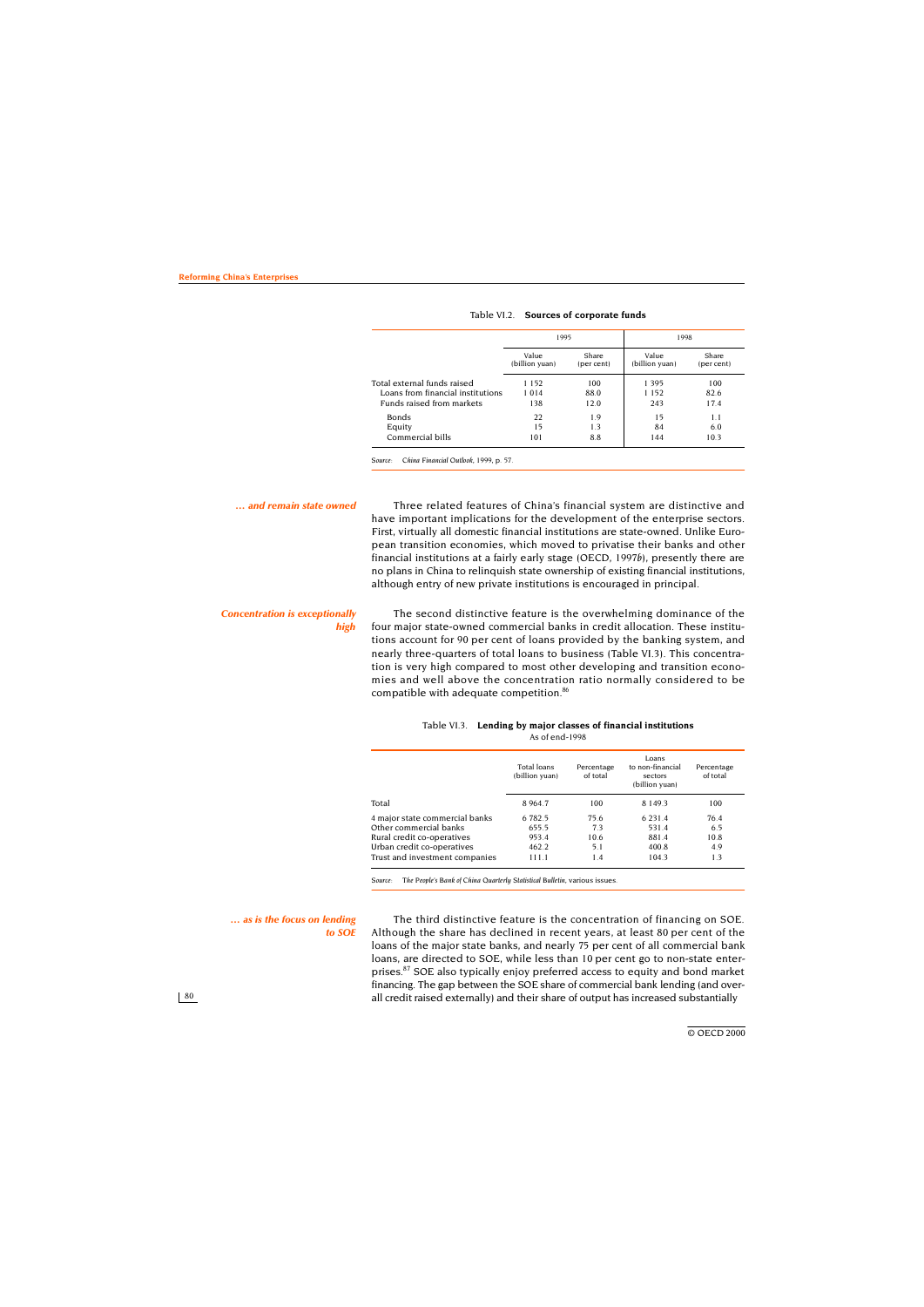|                                   | 1995           |            | 1998           |            |
|-----------------------------------|----------------|------------|----------------|------------|
|                                   | Value          | Share      | Value          | Share      |
|                                   | (billion yuan) | (per cent) | (billion yuan) | (per cent) |
| Total external funds raised       | 1 1 5 2        | 100        | 1 3 9 5        | 100        |
| Loans from financial institutions | 1014           | 88.0       | 1 1 5 2        | 82.6       |
| Funds raised from markets         | 138            | 12.0       | 243            | 17.4       |
| <b>Bonds</b>                      | 22             | 1.9        | 15             | 1.1        |
| Equity                            | 15             | 1.3        | 84             | 6.0        |
| Commercial bills                  | 101            | 8.8        | 144            | 10.3       |

# Table VI.2. **Sources of corporate funds**

*Source: China Financial Outlook, 1999*, p. 57.

*… and remain state owned* Three related features of China's financial system are distinctive and have important implications for the development of the enterprise sectors. First, virtually all domestic financial institutions are state-owned. Unlike European transition economies, which moved to privatise their banks and other financial institutions at a fairly early stage (OECD, 1997*b*), presently there are no plans in China to relinquish state ownership of existing financial institutions, although entry of new private institutions is encouraged in principal.

# *Concentration is exceptionally high*

The second distinctive feature is the overwhelming dominance of the four major state-owned commercial banks in credit allocation. These institutions account for 90 per cent of loans provided by the banking system, and nearly three-quarters of total loans to business (Table VI.3). This concentration is very high compared to most other developing and transition economies and well above the concentration ratio normally considered to be compatible with adequate competition.<sup>86</sup>

#### Table VI.3. **Lending by major classes of financial institutions** As of end-1998

|                                | Total loans<br>(billion yuan) | Percentage<br>of total | Loans<br>to non-financial<br>sectors<br>(billion yuan) | Percentage<br>of total |
|--------------------------------|-------------------------------|------------------------|--------------------------------------------------------|------------------------|
| Total                          | 8 9 6 4.7                     | 100                    | 8 1 4 9 .3                                             | 100                    |
| 4 major state commercial banks | 6 782.5                       | 75.6                   | 6 2 3 1 .4                                             | 76.4                   |
| Other commercial banks         | 655.5                         | 7.3                    | 531.4                                                  | 6.5                    |
| Rural credit co-operatives     | 953.4                         | 10.6                   | 881.4                                                  | 10.8                   |
| Urban credit co-operatives     | 462.2                         | 5.1                    | 400.8                                                  | 4.9                    |
| Trust and investment companies | 111.1                         | 1.4                    | 104.3                                                  | 1.3                    |

*Source: The People's Bank of China Quarterly Statistical Bulletin*, various issues.

# *… as is the focus on lending to SOE*

 *80*

The third distinctive feature is the concentration of financing on SOE. Although the share has declined in recent years, at least 80 per cent of the loans of the major state banks, and nearly 75 per cent of all commercial bank loans, are directed to SOE, while less than 10 per cent go to non-state enterprises.<sup>87</sup> SOE also typically enjoy preferred access to equity and bond market financing. The gap between the SOE share of commercial bank lending (and overall credit raised externally) and their share of output has increased substantially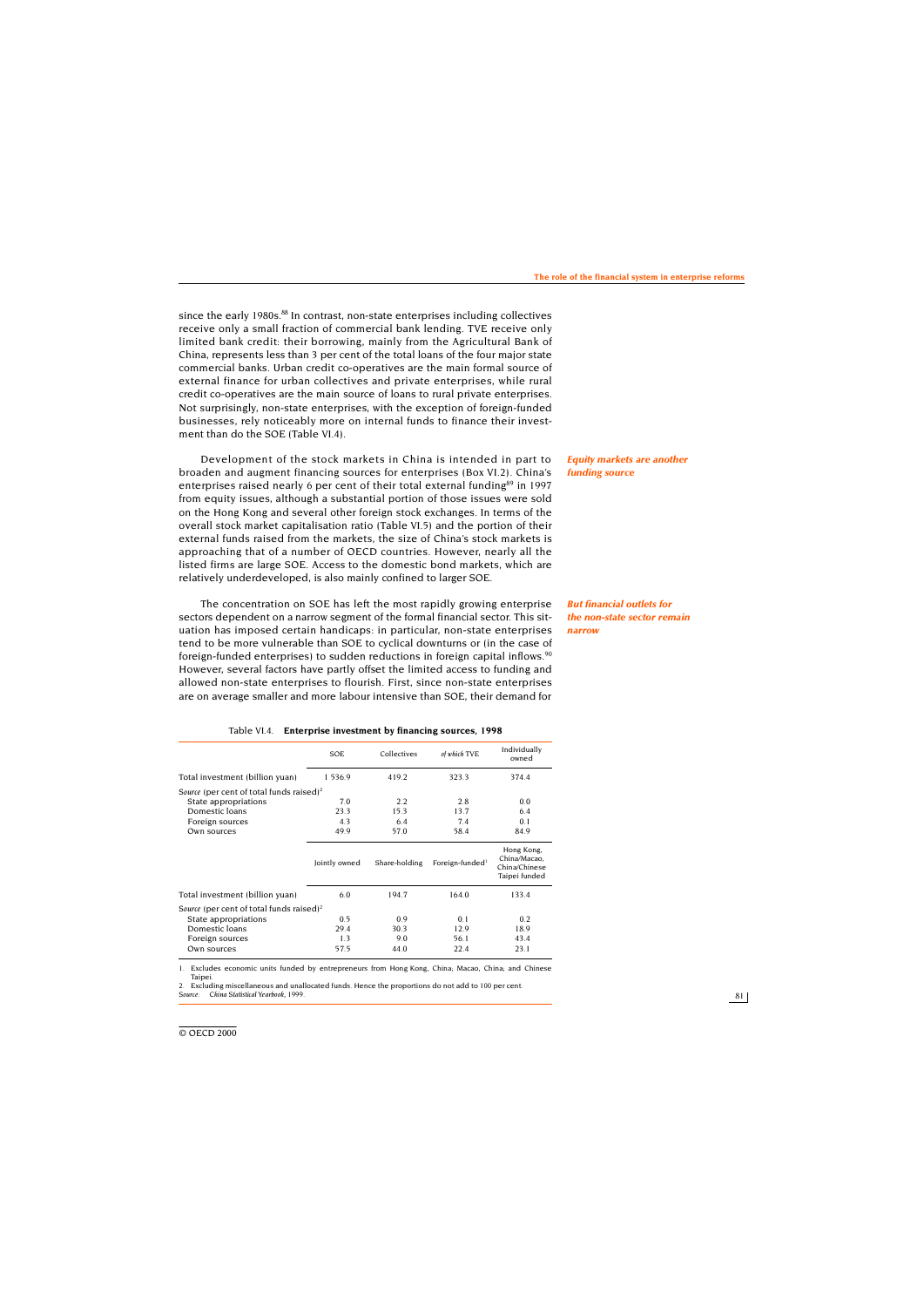since the early 1980s.<sup>88</sup> In contrast, non-state enterprises including collectives receive only a small fraction of commercial bank lending. TVE receive only limited bank credit: their borrowing, mainly from the Agricultural Bank of China, represents less than 3 per cent of the total loans of the four major state commercial banks. Urban credit co-operatives are the main formal source of external finance for urban collectives and private enterprises, while rural credit co-operatives are the main source of loans to rural private enterprises. Not surprisingly, non-state enterprises, with the exception of foreign-funded businesses, rely noticeably more on internal funds to finance their investment than do the SOE (Table VI.4).

Development of the stock markets in China is intended in part to broaden and augment financing sources for enterprises (Box VI.2). China's enterprises raised nearly 6 per cent of their total external funding<sup>89</sup> in 1997 from equity issues, although a substantial portion of those issues were sold on the Hong Kong and several other foreign stock exchanges. In terms of the overall stock market capitalisation ratio (Table VI.5) and the portion of their external funds raised from the markets, the size of China's stock markets is approaching that of a number of OECD countries. However, nearly all the listed firms are large SOE. Access to the domestic bond markets, which are relatively underdeveloped, is also mainly confined to larger SOE.

The concentration on SOE has left the most rapidly growing enterprise sectors dependent on a narrow segment of the formal financial sector. This situation has imposed certain handicaps: in particular, non-state enterprises tend to be more vulnerable than SOE to cyclical downturns or (in the case of foreign-funded enterprises) to sudden reductions in foreign capital inflows.<sup>90</sup> However, several factors have partly offset the limited access to funding and allowed non-state enterprises to flourish. First, since non-state enterprises are on average smaller and more labour intensive than SOE, their demand for

|                                                      | <b>SOE</b>    | Collectives   | of which TVE                | Individually<br>owned                                        |
|------------------------------------------------------|---------------|---------------|-----------------------------|--------------------------------------------------------------|
| Total investment (billion yuan)                      | 1 536.9       | 419.2         | 323.3                       | 374.4                                                        |
| Source (per cent of total funds raised) <sup>2</sup> |               |               |                             |                                                              |
| State appropriations                                 | 7.0           | 2.2           | 2.8                         | 0.0                                                          |
| Domestic loans                                       | 23.3          | 15.3          | 13.7                        | 6.4                                                          |
| Foreign sources                                      | 4.3           | 6.4           | 7.4                         | 0.1                                                          |
| Own sources                                          | 49.9          | 57.0          | 58.4                        | 84.9                                                         |
|                                                      | Jointly owned | Share-holding | Foreign-funded <sup>1</sup> | Hong Kong,<br>China/Macao,<br>China/Chinese<br>Taipei funded |
| Total investment (billion yuan)                      | 6.0           | 194.7         | 164.0                       | 133.4                                                        |
| Source (per cent of total funds raised) <sup>2</sup> |               |               |                             |                                                              |
| State appropriations                                 | $0.5^{\circ}$ | 0.9           | 0.1                         | 0.2                                                          |
| Domestic loans                                       | 29.4          | 30.3          | 12.9                        | 18.9                                                         |
| Foreign sources                                      | 1.3           | 9.0           | 56.1                        | 43.4                                                         |
| Own sources                                          | 57.5          | 44.0          | 22.4                        | 23.1                                                         |

Table VI.4. **Enterprise investment by financing sources, 1998**

1. Excludes economic units funded by entrepreneurs from Hong Kong, China; Macao, China; and Chinese Taipei.

2. Excluding miscellaneous and unallocated funds. Hence the proportions do not add to 100 per cent.

*Source: China Statistical Yearbook, 1999.*

*Equity markets are another funding source*

*But financial outlets for the non-state sector remain narrow*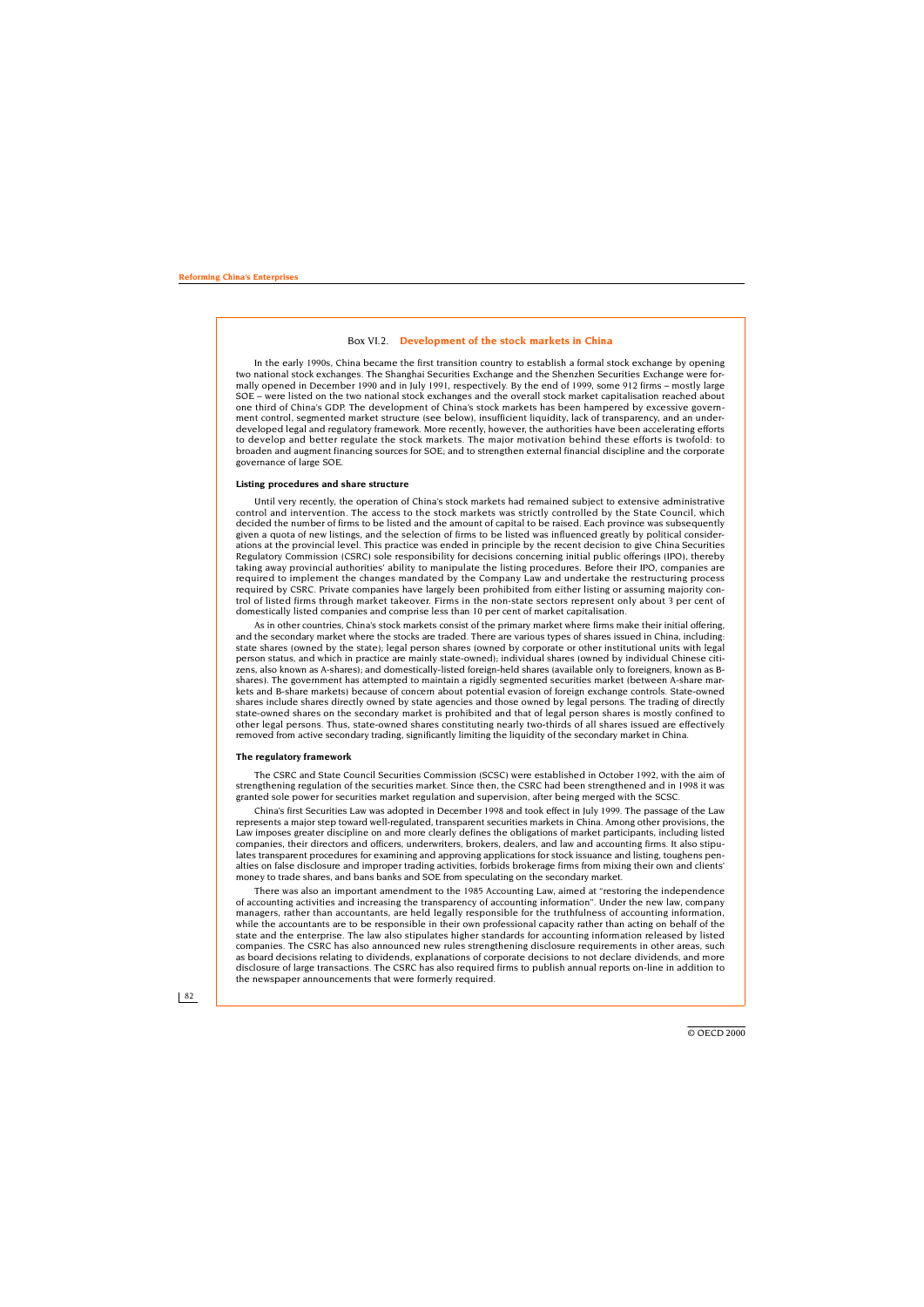#### Box VI.2. **Development of the stock markets in China**

In the early 1990s, China became the first transition country to establish a formal stock exchange by opening two national stock exchanges. The Shanghai Securities Exchange and the Shenzhen Securities Exchange were formally opened in December 1990 and in July 1991, respectively. By the end of 1999, some 912 firms – mostly large SOE – were listed on the two national stock exchanges and the overall stock market capitalisation reached about one third of China's GDP. The development of China's stock markets has been hampered by excessive government control, segmented market structure (see below), insufficient liquidity, lack of transparency, and an underdeveloped legal and regulatory framework. More recently, however, the authorities have been accelerating efforts to develop and better regulate the stock markets. The major motivation behind these efforts is twofold: to broaden and augment financing sources for SOE; and to strengthen external financial discipline and the corporate governance of large SOE.

#### **Listing procedures and share structure**

Until very recently, the operation of China's stock markets had remained subject to extensive administrative control and intervention. The access to the stock markets was strictly controlled by the State Council, which decided the number of firms to be listed and the amount of capital to be raised. Each province was subsequently given a quota of new listings, and the selection of firms to be listed was influenced greatly by political considerations at the provincial level. This practice was ended in principle by the recent decision to give China Securities Regulatory Commission (CSRC) sole responsibility for decisions concerning initial public offerings (IPO), thereby taking away provincial authorities' ability to manipulate the listing procedures. Before their IPO, companies are required to implement the changes mandated by the Company Law and undertake the restructuring process required by CSRC. Private companies have largely been prohibited from either listing or assuming majority control of listed firms through market takeover. Firms in the non-state sectors represent only about 3 per cent of domestically listed companies and comprise less than 10 per cent of market capitalisation.

As in other countries, China's stock markets consist of the primary market where firms make their initial offering, and the secondary market where the stocks are traded. There are various types of shares issued in China, including: state shares (owned by the state); legal person shares (owned by corporate or other institutional units with legal person status, and which in practice are mainly state-owned); individual shares (owned by individual Chinese citizens, also known as A-shares); and domestically-listed foreign-held shares (available only to foreigners, known as Bshares). The government has attempted to maintain a rigidly segmented securities market (between A-share markets and B-share markets) because of concern about potential evasion of foreign exchange controls. State-owned shares include shares directly owned by state agencies and those owned by legal persons. The trading of directly state-owned shares on the secondary market is prohibited and that of legal person shares is mostly confined to other legal persons. Thus, state-owned shares constituting nearly two-thirds of all shares issued are effectively removed from active secondary trading, significantly limiting the liquidity of the secondary market in China.

#### **The regulatory framework**

The CSRC and State Council Securities Commission (SCSC) were established in October 1992, with the aim of strengthening regulation of the securities market. Since then, the CSRC had been strengthened and in 1998 it was granted sole power for securities market regulation and supervision, after being merged with the SCSC.

China's first Securities Law was adopted in December 1998 and took effect in July 1999. The passage of the Law represents a major step toward well-regulated, transparent securities markets in China. Among other provisions, the Law imposes greater discipline on and more clearly defines the obligations of market participants, including listed companies, their directors and officers, underwriters, brokers, dealers, and law and accounting firms. It also stipulates transparent procedures for examining and approving applications for stock issuance and listing, toughens penalties on false disclosure and improper trading activities, forbids brokerage firms from mixing their own and clients' money to trade shares, and bans banks and SOE from speculating on the secondary market.

There was also an important amendment to the 1985 Accounting Law, aimed at "restoring the independence of accounting activities and increasing the transparency of accounting information". Under the new law, company managers, rather than accountants, are held legally responsible for the truthfulness of accounting information, while the accountants are to be responsible in their own professional capacity rather than acting on behalf of the state and the enterprise. The law also stipulates higher standards for accounting information released by listed companies. The CSRC has also announced new rules strengthening disclosure requirements in other areas, such as board decisions relating to dividends, explanations of corporate decisions to not declare dividends, and more disclosure of large transactions. The CSRC has also required firms to publish annual reports on-line in addition to the newspaper announcements that were formerly required.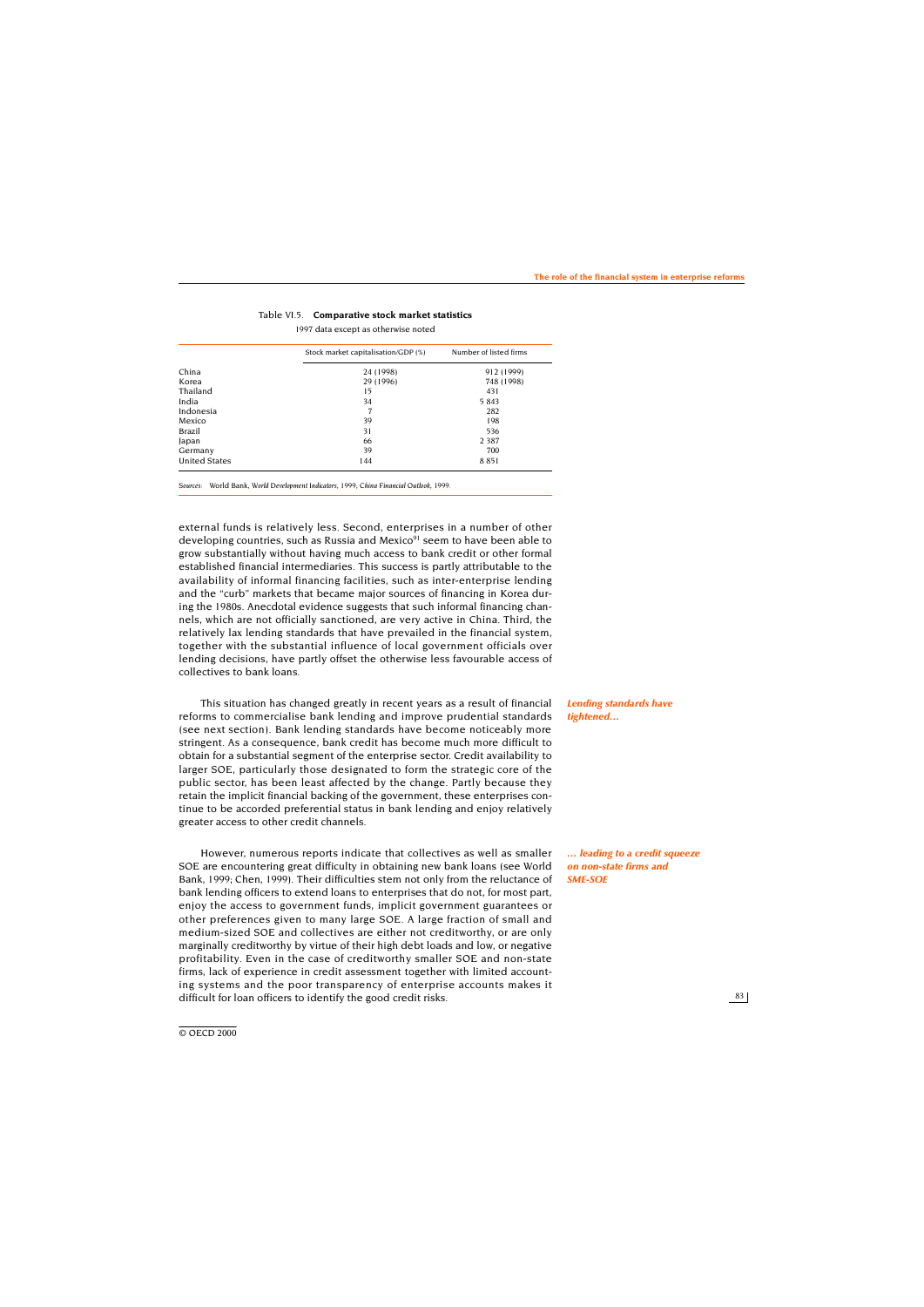|                      | Stock market capitalisation/GDP (%) | Number of listed firms |
|----------------------|-------------------------------------|------------------------|
| China                | 24 (1998)                           | 912 (1999)             |
| Korea                | 29 (1996)                           | 748 (1998)             |
| Thailand             | 15                                  | 431                    |
| India                | 34                                  | 5843                   |
| Indonesia            | 7                                   | 282                    |
| Mexico               | 39                                  | 198                    |
| Brazil               | 31                                  | 536                    |
| Japan                | 66                                  | 2 3 8 7                |
| Germany              | 39                                  | 700                    |
| <b>United States</b> | 144                                 | 8851                   |

#### Table VI.5. **Comparative stock market statistics**

1997 data except as otherwise noted

*Sources:* World Bank, *World Development Indicators, 1999; China Financial Outlook*, 1999.

external funds is relatively less. Second, enterprises in a number of other developing countries, such as Russia and Mexico<sup>91</sup> seem to have been able to grow substantially without having much access to bank credit or other formal established financial intermediaries. This success is partly attributable to the availability of informal financing facilities, such as inter-enterprise lending and the "curb" markets that became major sources of financing in Korea during the 1980s. Anecdotal evidence suggests that such informal financing channels, which are not officially sanctioned, are very active in China. Third, the relatively lax lending standards that have prevailed in the financial system, together with the substantial influence of local government officials over lending decisions, have partly offset the otherwise less favourable access of collectives to bank loans.

This situation has changed greatly in recent years as a result of financial reforms to commercialise bank lending and improve prudential standards (see next section). Bank lending standards have become noticeably more stringent. As a consequence, bank credit has become much more difficult to obtain for a substantial segment of the enterprise sector. Credit availability to larger SOE, particularly those designated to form the strategic core of the public sector, has been least affected by the change. Partly because they retain the implicit financial backing of the government, these enterprises continue to be accorded preferential status in bank lending and enjoy relatively greater access to other credit channels.

However, numerous reports indicate that collectives as well as smaller SOE are encountering great difficulty in obtaining new bank loans (see World Bank, 1999; Chen, 1999). Their difficulties stem not only from the reluctance of bank lending officers to extend loans to enterprises that do not, for most part, enjoy the access to government funds, implicit government guarantees or other preferences given to many large SOE. A large fraction of small and medium-sized SOE and collectives are either not creditworthy, or are only marginally creditworthy by virtue of their high debt loads and low, or negative profitability. Even in the case of creditworthy smaller SOE and non-state firms, lack of experience in credit assessment together with limited accounting systems and the poor transparency of enterprise accounts makes it difficult for loan officers to identify the good credit risks.

# *Lending standards have tightened…*

*… leading to a credit squeeze on non-state firms and SME-SOE*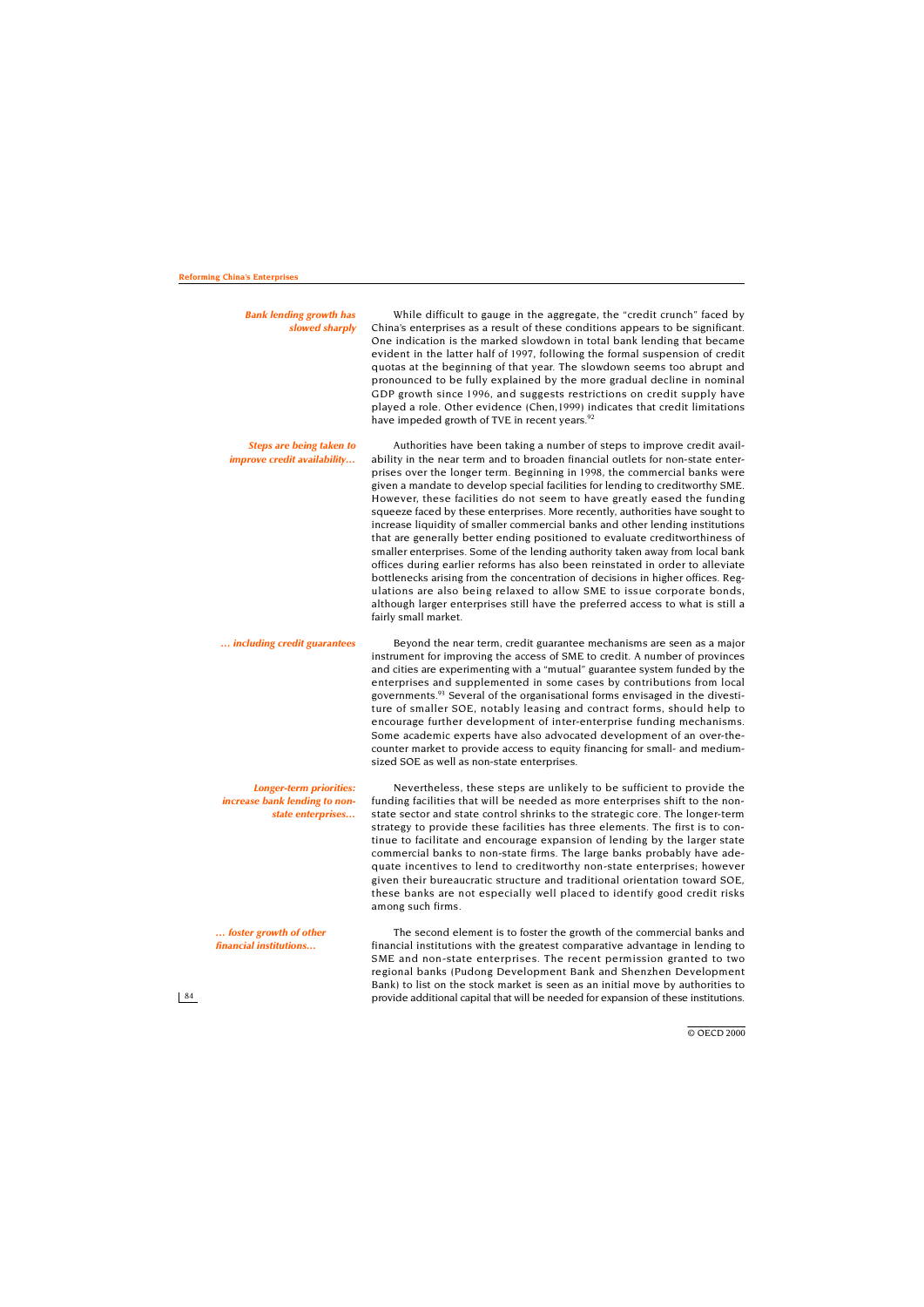*84*

| <b>Bank lending growth has</b><br>slowed sharply                                     | While difficult to gauge in the aggregate, the "credit crunch" faced by<br>China's enterprises as a result of these conditions appears to be significant.<br>One indication is the marked slowdown in total bank lending that became<br>evident in the latter half of 1997, following the formal suspension of credit<br>quotas at the beginning of that year. The slowdown seems too abrupt and<br>pronounced to be fully explained by the more gradual decline in nominal<br>GDP growth since 1996, and suggests restrictions on credit supply have<br>played a role. Other evidence (Chen, 1999) indicates that credit limitations<br>have impeded growth of TVE in recent years. <sup>92</sup>                                                                                                                                                                                                                                                                                                                                                                                            |
|--------------------------------------------------------------------------------------|-----------------------------------------------------------------------------------------------------------------------------------------------------------------------------------------------------------------------------------------------------------------------------------------------------------------------------------------------------------------------------------------------------------------------------------------------------------------------------------------------------------------------------------------------------------------------------------------------------------------------------------------------------------------------------------------------------------------------------------------------------------------------------------------------------------------------------------------------------------------------------------------------------------------------------------------------------------------------------------------------------------------------------------------------------------------------------------------------|
| <b>Steps are being taken to</b><br>improve credit availability                       | Authorities have been taking a number of steps to improve credit avail-<br>ability in the near term and to broaden financial outlets for non-state enter-<br>prises over the longer term. Beginning in 1998, the commercial banks were<br>given a mandate to develop special facilities for lending to creditworthy SME.<br>However, these facilities do not seem to have greatly eased the funding<br>squeeze faced by these enterprises. More recently, authorities have sought to<br>increase liquidity of smaller commercial banks and other lending institutions<br>that are generally better ending positioned to evaluate creditworthiness of<br>smaller enterprises. Some of the lending authority taken away from local bank<br>offices during earlier reforms has also been reinstated in order to alleviate<br>bottlenecks arising from the concentration of decisions in higher offices. Reg-<br>ulations are also being relaxed to allow SME to issue corporate bonds,<br>although larger enterprises still have the preferred access to what is still a<br>fairly small market. |
| including credit guarantees                                                          | Beyond the near term, credit guarantee mechanisms are seen as a major<br>instrument for improving the access of SME to credit. A number of provinces<br>and cities are experimenting with a "mutual" guarantee system funded by the<br>enterprises and supplemented in some cases by contributions from local<br>governments. <sup>93</sup> Several of the organisational forms envisaged in the divesti-<br>ture of smaller SOE, notably leasing and contract forms, should help to<br>encourage further development of inter-enterprise funding mechanisms.<br>Some academic experts have also advocated development of an over-the-<br>counter market to provide access to equity financing for small- and medium-<br>sized SOE as well as non-state enterprises.                                                                                                                                                                                                                                                                                                                          |
| <b>Longer-term priorities:</b><br>increase bank lending to non-<br>state enterprises | Nevertheless, these steps are unlikely to be sufficient to provide the<br>funding facilities that will be needed as more enterprises shift to the non-<br>state sector and state control shrinks to the strategic core. The longer-term<br>strategy to provide these facilities has three elements. The first is to con-<br>tinue to facilitate and encourage expansion of lending by the larger state<br>commercial banks to non-state firms. The large banks probably have ade-<br>quate incentives to lend to creditworthy non-state enterprises; however<br>given their bureaucratic structure and traditional orientation toward SOE,<br>these banks are not especially well placed to identify good credit risks<br>among such firms.                                                                                                                                                                                                                                                                                                                                                   |
| foster growth of other<br>financial institutions                                     | The second element is to foster the growth of the commercial banks and<br>financial institutions with the greatest comparative advantage in lending to<br>SME and non-state enterprises. The recent permission granted to two<br>regional banks (Pudong Development Bank and Shenzhen Development<br>Bank) to list on the stock market is seen as an initial move by authorities to                                                                                                                                                                                                                                                                                                                                                                                                                                                                                                                                                                                                                                                                                                           |

provide additional capital that will be needed for expansion of these institutions.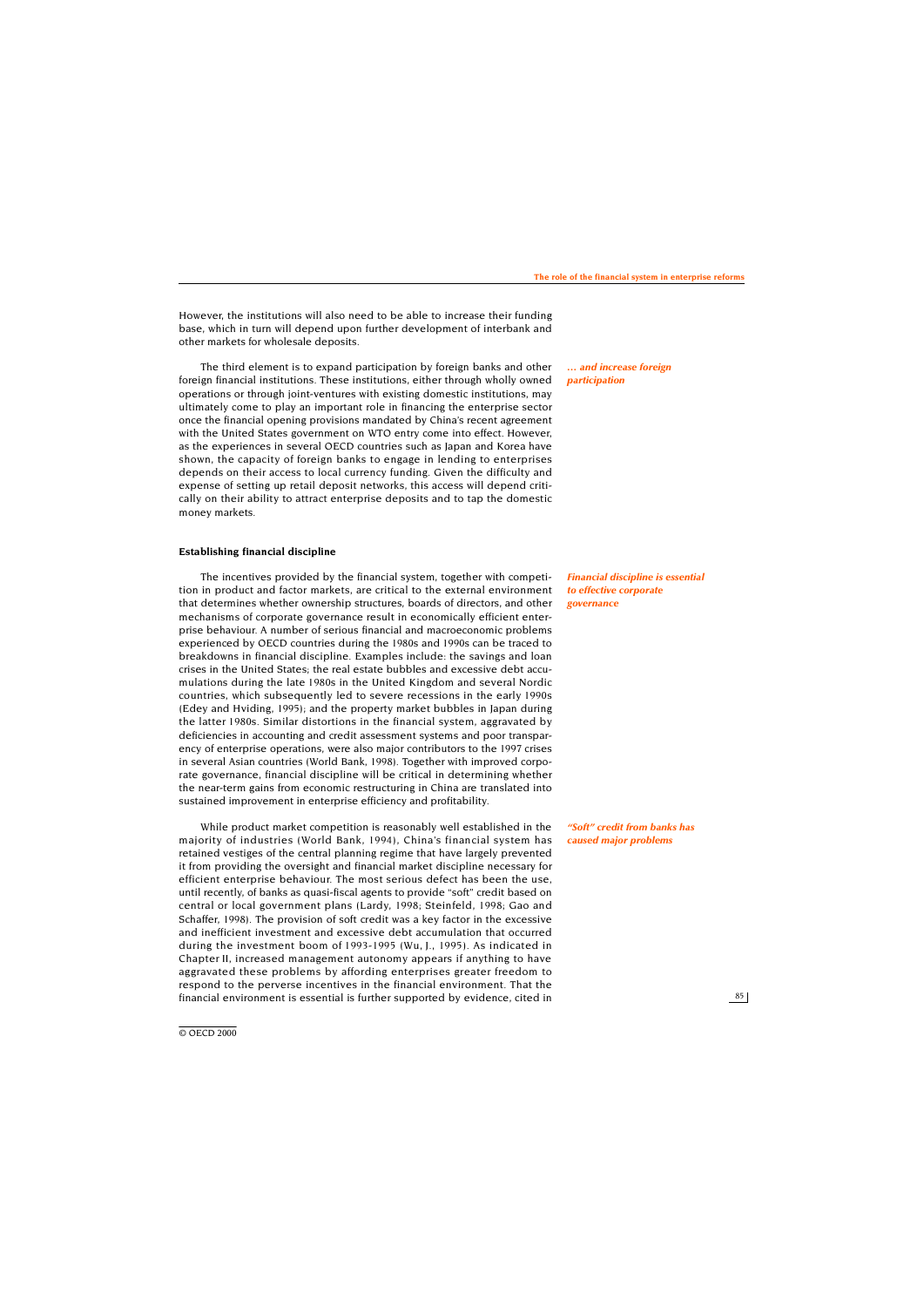However, the institutions will also need to be able to increase their funding base, which in turn will depend upon further development of interbank and other markets for wholesale deposits.

The third element is to expand participation by foreign banks and other foreign financial institutions. These institutions, either through wholly owned operations or through joint-ventures with existing domestic institutions, may ultimately come to play an important role in financing the enterprise sector once the financial opening provisions mandated by China's recent agreement with the United States government on WTO entry come into effect. However, as the experiences in several OECD countries such as Japan and Korea have shown, the capacity of foreign banks to engage in lending to enterprises depends on their access to local currency funding. Given the difficulty and expense of setting up retail deposit networks, this access will depend critically on their ability to attract enterprise deposits and to tap the domestic money markets.

# **Establishing financial discipline**

The incentives provided by the financial system, together with competition in product and factor markets, are critical to the external environment that determines whether ownership structures, boards of directors, and other mechanisms of corporate governance result in economically efficient enterprise behaviour. A number of serious financial and macroeconomic problems experienced by OECD countries during the 1980s and 1990s can be traced to breakdowns in financial discipline. Examples include: the savings and loan crises in the United States; the real estate bubbles and excessive debt accumulations during the late 1980s in the United Kingdom and several Nordic countries, which subsequently led to severe recessions in the early 1990s (Edey and Hviding, 1995); and the property market bubbles in Japan during the latter 1980s. Similar distortions in the financial system, aggravated by deficiencies in accounting and credit assessment systems and poor transparency of enterprise operations, were also major contributors to the 1997 crises in several Asian countries (World Bank, 1998). Together with improved corporate governance, financial discipline will be critical in determining whether the near-term gains from economic restructuring in China are translated into sustained improvement in enterprise efficiency and profitability.

While product market competition is reasonably well established in the majority of industries (World Bank, 1994), China's financial system has retained vestiges of the central planning regime that have largely prevented it from providing the oversight and financial market discipline necessary for efficient enterprise behaviour. The most serious defect has been the use, until recently, of banks as quasi-fiscal agents to provide "soft" credit based on central or local government plans (Lardy, 1998; Steinfeld, 1998; Gao and Schaffer, 1998). The provision of soft credit was a key factor in the excessive and inefficient investment and excessive debt accumulation that occurred during the investment boom of 1993-1995 (Wu, J., 1995). As indicated in Chapter II, increased management autonomy appears if anything to have aggravated these problems by affording enterprises greater freedom to respond to the perverse incentives in the financial environment. That the financial environment is essential is further supported by evidence, cited in

*… and increase foreign participation*

*Financial discipline is essential to effective corporate governance*

*"Soft" credit from banks has caused major problems*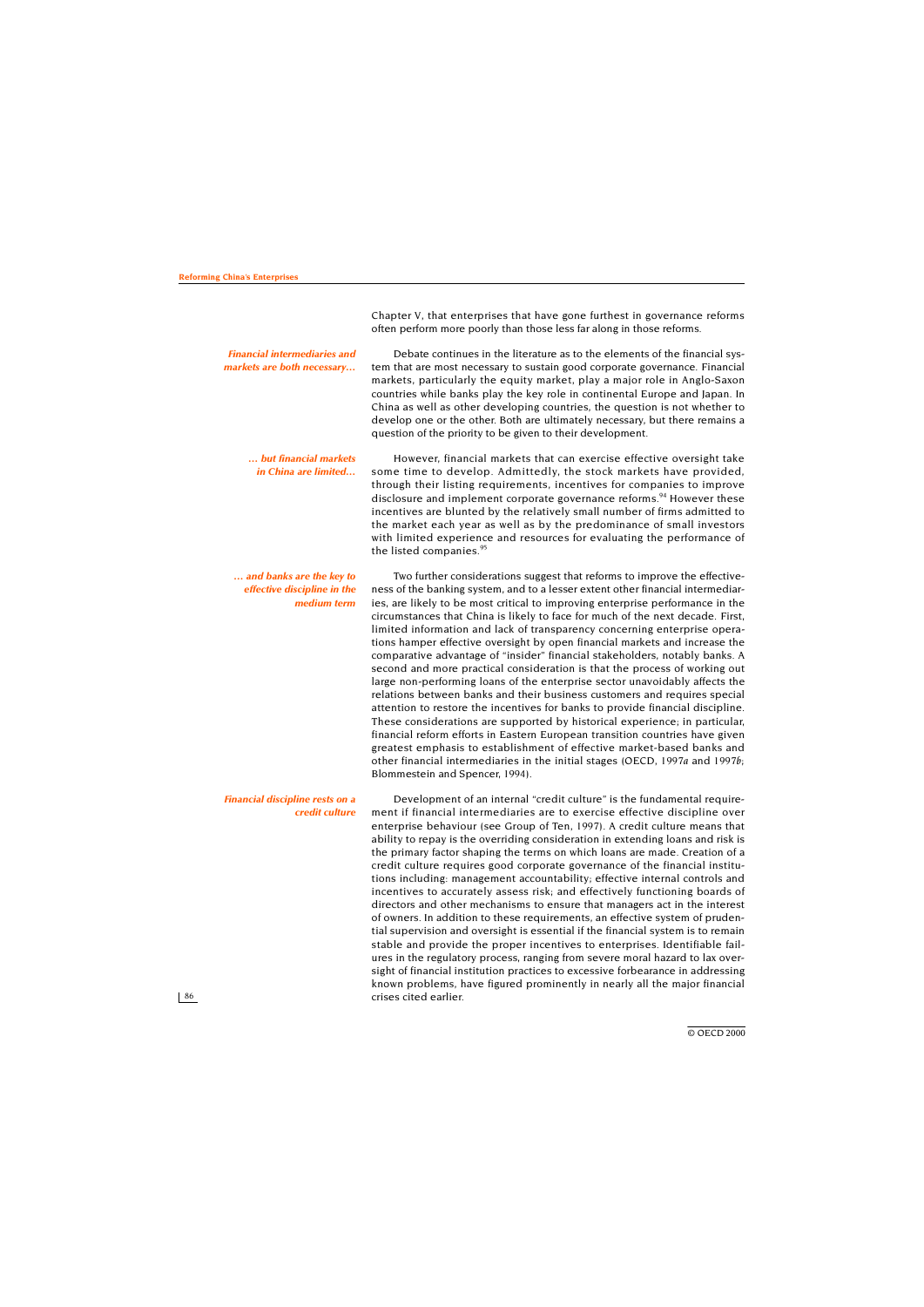Chapter V, that enterprises that have gone furthest in governance reforms often perform more poorly than those less far along in those reforms.

*Financial intermediaries and markets are both necessary…*

Debate continues in the literature as to the elements of the financial system that are most necessary to sustain good corporate governance. Financial markets, particularly the equity market, play a major role in Anglo-Saxon countries while banks play the key role in continental Europe and Japan. In China as well as other developing countries, the question is not whether to develop one or the other. Both are ultimately necessary, but there remains a question of the priority to be given to their development.

*… but financial markets in China are limited…*

*… and banks are the key to effective discipline in the medium term*

*Financial discipline rests on a credit culture*

However, financial markets that can exercise effective oversight take some time to develop. Admittedly, the stock markets have provided, through their listing requirements, incentives for companies to improve disclosure and implement corporate governance reforms.<sup>94</sup> However these incentives are blunted by the relatively small number of firms admitted to the market each year as well as by the predominance of small investors with limited experience and resources for evaluating the performance of the listed companies.95

Two further considerations suggest that reforms to improve the effectiveness of the banking system, and to a lesser extent other financial intermediaries, are likely to be most critical to improving enterprise performance in the circumstances that China is likely to face for much of the next decade. First, limited information and lack of transparency concerning enterprise operations hamper effective oversight by open financial markets and increase the comparative advantage of "insider" financial stakeholders, notably banks. A second and more practical consideration is that the process of working out large non-performing loans of the enterprise sector unavoidably affects the relations between banks and their business customers and requires special attention to restore the incentives for banks to provide financial discipline. These considerations are supported by historical experience; in particular, financial reform efforts in Eastern European transition countries have given greatest emphasis to establishment of effective market-based banks and other financial intermediaries in the initial stages (OECD, 1997*a* and 1997*b*; Blommestein and Spencer, 1994).

Development of an internal "credit culture" is the fundamental requirement if financial intermediaries are to exercise effective discipline over enterprise behaviour (see Group of Ten, 1997). A credit culture means that ability to repay is the overriding consideration in extending loans and risk is the primary factor shaping the terms on which loans are made. Creation of a credit culture requires good corporate governance of the financial institutions including: management accountability; effective internal controls and incentives to accurately assess risk; and effectively functioning boards of directors and other mechanisms to ensure that managers act in the interest of owners. In addition to these requirements, an effective system of prudential supervision and oversight is essential if the financial system is to remain stable and provide the proper incentives to enterprises. Identifiable failures in the regulatory process, ranging from severe moral hazard to lax oversight of financial institution practices to excessive forbearance in addressing known problems, have figured prominently in nearly all the major financial crises cited earlier.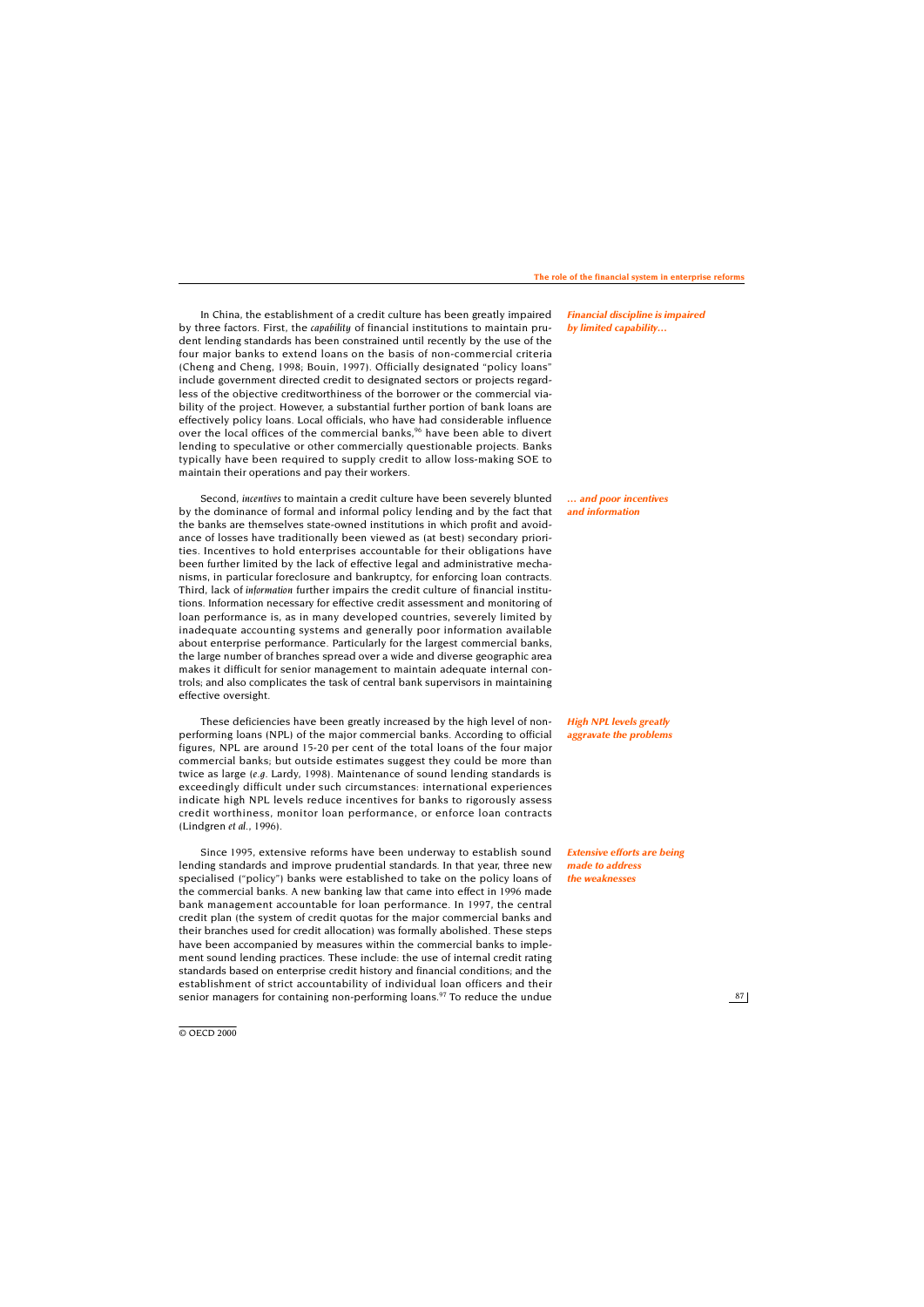*Financial discipline is impaired* 

In China, the establishment of a credit culture has been greatly impaired by three factors. First, the *capability* of financial institutions to maintain prudent lending standards has been constrained until recently by the use of the four major banks to extend loans on the basis of non-commercial criteria (Cheng and Cheng, 1998; Bouin, 1997). Officially designated "policy loans" include government directed credit to designated sectors or projects regardless of the objective creditworthiness of the borrower or the commercial viability of the project. However, a substantial further portion of bank loans are effectively policy loans. Local officials, who have had considerable influence over the local offices of the commercial banks,<sup>96</sup> have been able to divert lending to speculative or other commercially questionable projects. Banks typically have been required to supply credit to allow loss-making SOE to maintain their operations and pay their workers.

Second, *incentives* to maintain a credit culture have been severely blunted by the dominance of formal and informal policy lending and by the fact that the banks are themselves state-owned institutions in which profit and avoidance of losses have traditionally been viewed as (at best) secondary priorities. Incentives to hold enterprises accountable for their obligations have been further limited by the lack of effective legal and administrative mechanisms, in particular foreclosure and bankruptcy, for enforcing loan contracts. Third, lack of *information* further impairs the credit culture of financial institutions. Information necessary for effective credit assessment and monitoring of loan performance is, as in many developed countries, severely limited by inadequate accounting systems and generally poor information available about enterprise performance. Particularly for the largest commercial banks, the large number of branches spread over a wide and diverse geographic area makes it difficult for senior management to maintain adequate internal controls; and also complicates the task of central bank supervisors in maintaining effective oversight.

These deficiencies have been greatly increased by the high level of nonperforming loans (NPL) of the major commercial banks. According to official figures, NPL are around 15-20 per cent of the total loans of the four major commercial banks; but outside estimates suggest they could be more than twice as large (*e.g.* Lardy, 1998). Maintenance of sound lending standards is exceedingly difficult under such circumstances: international experiences indicate high NPL levels reduce incentives for banks to rigorously assess credit worthiness, monitor loan performance, or enforce loan contracts (Lindgren *et al.*, 1996).

Since 1995, extensive reforms have been underway to establish sound lending standards and improve prudential standards. In that year, three new specialised ("policy") banks were established to take on the policy loans of the commercial banks. A new banking law that came into effect in 1996 made bank management accountable for loan performance. In 1997, the central credit plan (the system of credit quotas for the major commercial banks and their branches used for credit allocation) was formally abolished. These steps have been accompanied by measures within the commercial banks to implement sound lending practices. These include: the use of internal credit rating standards based on enterprise credit history and financial conditions; and the establishment of strict accountability of individual loan officers and their senior managers for containing non-performing loans.<sup>97</sup> To reduce the undue

*… and poor incentives and information*

*High NPL levels greatly aggravate the problems*

*Extensive efforts are being made to address the weaknesses*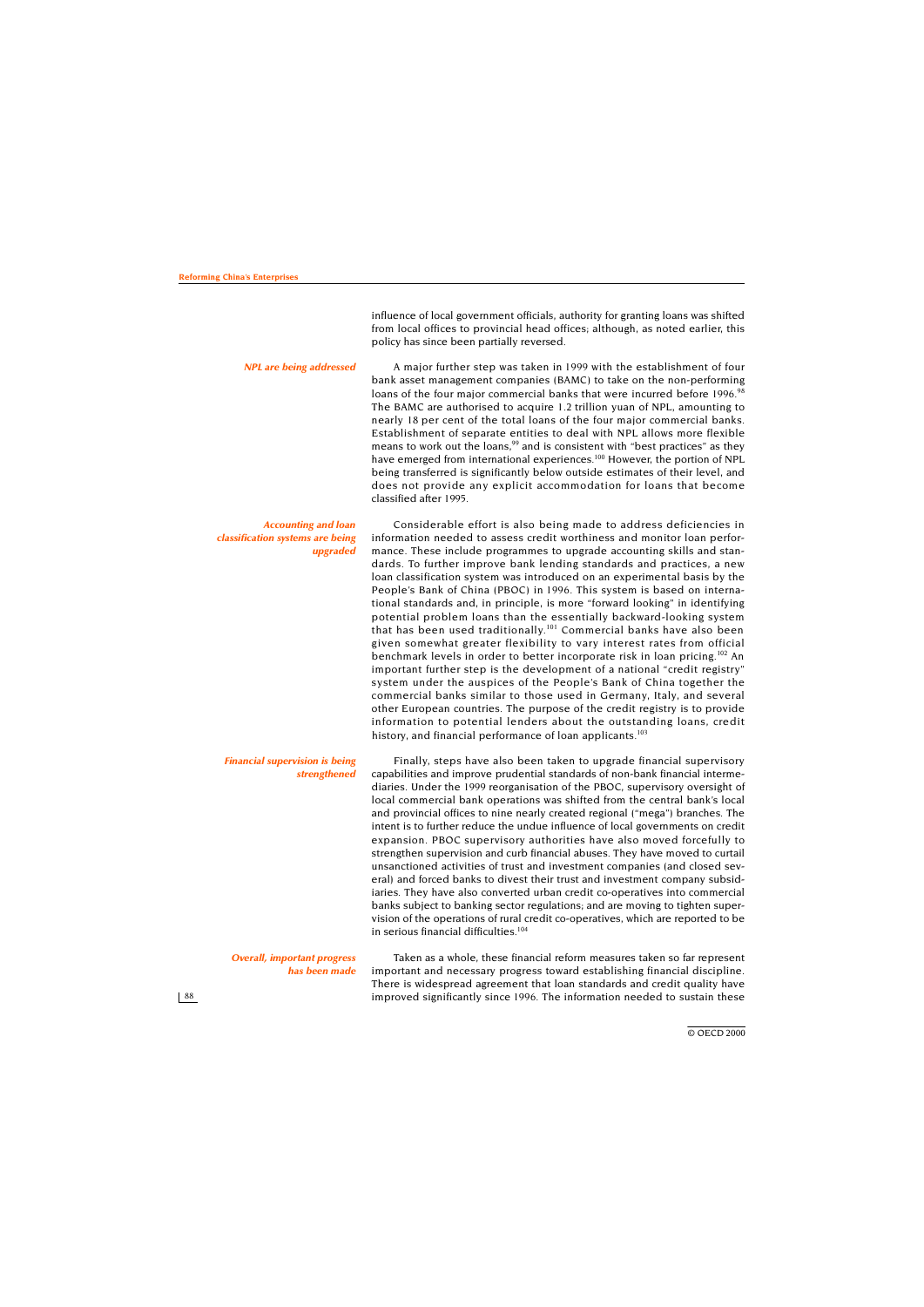influence of local government officials, authority for granting loans was shifted from local offices to provincial head offices; although, as noted earlier, this policy has since been partially reversed.

*NPL are being addressed* A major further step was taken in 1999 with the establishment of four bank asset management companies (BAMC) to take on the non-performing loans of the four major commercial banks that were incurred before 1996.<sup>98</sup> The BAMC are authorised to acquire 1.2 trillion yuan of NPL, amounting to nearly 18 per cent of the total loans of the four major commercial banks. Establishment of separate entities to deal with NPL allows more flexible means to work out the loans,  $99$  and is consistent with "best practices" as they have emerged from international experiences.<sup>100</sup> However, the portion of NPL being transferred is significantly below outside estimates of their level, and does not provide any explicit accommodation for loans that become classified after 1995.

> Considerable effort is also being made to address deficiencies in information needed to assess credit worthiness and monitor loan performance. These include programmes to upgrade accounting skills and standards. To further improve bank lending standards and practices, a new loan classification system was introduced on an experimental basis by the People's Bank of China (PBOC) in 1996. This system is based on international standards and, in principle, is more "forward looking" in identifying potential problem loans than the essentially backward-looking system that has been used traditionally.<sup>101</sup> Commercial banks have also been given somewhat greater flexibility to vary interest rates from official benchmark levels in order to better incorporate risk in loan pricing.<sup>102</sup> An important further step is the development of a national "credit registry" system under the auspices of the People's Bank of China together the commercial banks similar to those used in Germany, Italy, and several other European countries. The purpose of the credit registry is to provide information to potential lenders about the outstanding loans, credit history, and financial performance of loan applicants.<sup>103</sup>

> Finally, steps have also been taken to upgrade financial supervisory capabilities and improve prudential standards of non-bank financial intermediaries. Under the 1999 reorganisation of the PBOC, supervisory oversight of local commercial bank operations was shifted from the central bank's local and provincial offices to nine nearly created regional ("mega") branches. The intent is to further reduce the undue influence of local governments on credit expansion. PBOC supervisory authorities have also moved forcefully to strengthen supervision and curb financial abuses. They have moved to curtail unsanctioned activities of trust and investment companies (and closed several) and forced banks to divest their trust and investment company subsidiaries. They have also converted urban credit co-operatives into commercial banks subject to banking sector regulations; and are moving to tighten supervision of the operations of rural credit co-operatives, which are reported to be in serious financial difficulties.<sup>104</sup>

*Overall, important progress has been made*

Taken as a whole, these financial reform measures taken so far represent important and necessary progress toward establishing financial discipline. There is widespread agreement that loan standards and credit quality have improved significantly since 1996. The information needed to sustain these

*Accounting and loan classification systems are being upgraded*

*Financial supervision is being strengthened*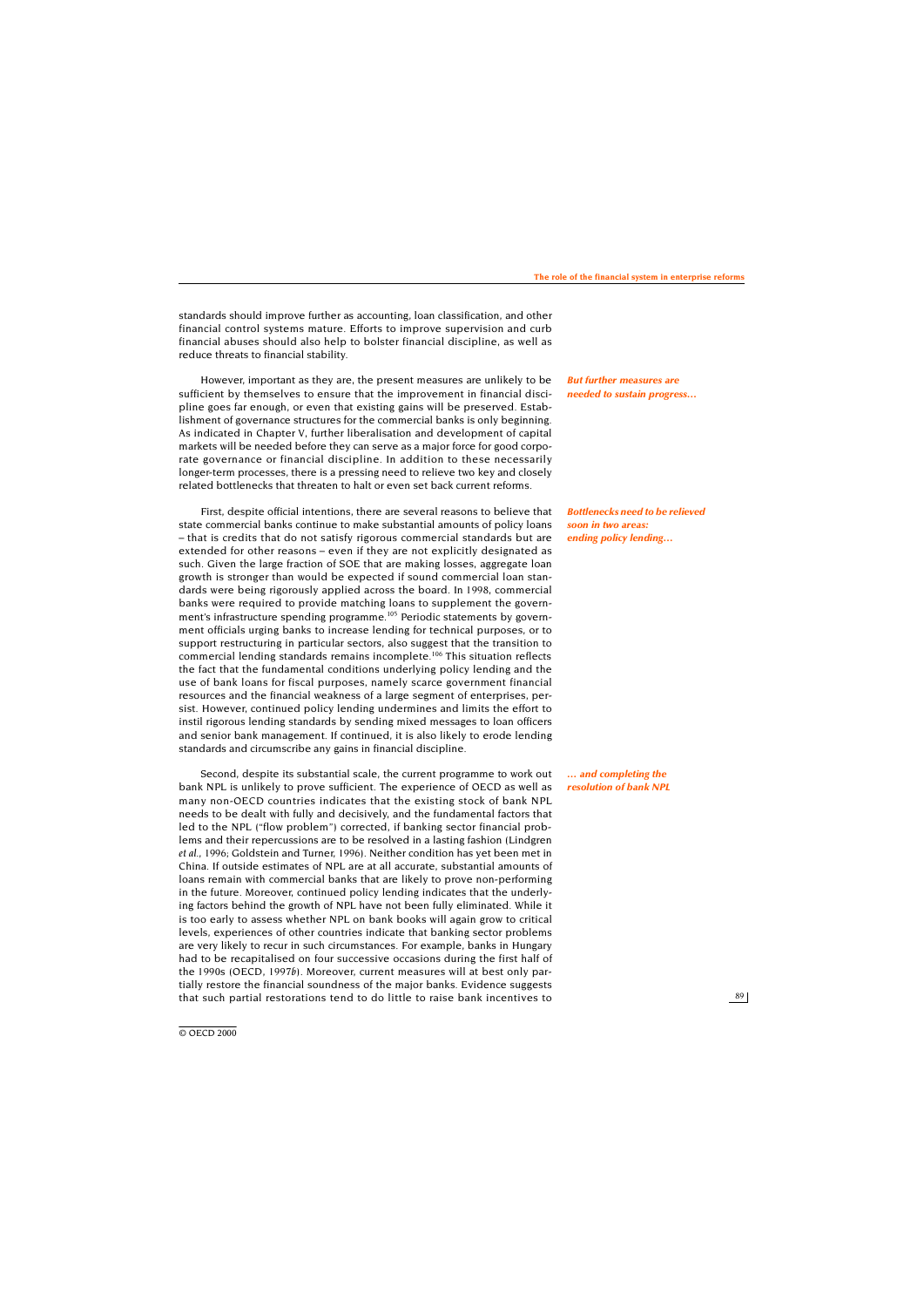standards should improve further as accounting, loan classification, and other financial control systems mature. Efforts to improve supervision and curb financial abuses should also help to bolster financial discipline, as well as reduce threats to financial stability.

However, important as they are, the present measures are unlikely to be sufficient by themselves to ensure that the improvement in financial discipline goes far enough, or even that existing gains will be preserved. Establishment of governance structures for the commercial banks is only beginning. As indicated in Chapter V, further liberalisation and development of capital markets will be needed before they can serve as a major force for good corporate governance or financial discipline. In addition to these necessarily longer-term processes, there is a pressing need to relieve two key and closely related bottlenecks that threaten to halt or even set back current reforms.

First, despite official intentions, there are several reasons to believe that state commercial banks continue to make substantial amounts of policy loans – that is credits that do not satisfy rigorous commercial standards but are extended for other reasons – even if they are not explicitly designated as such. Given the large fraction of SOE that are making losses, aggregate loan growth is stronger than would be expected if sound commercial loan standards were being rigorously applied across the board. In 1998, commercial banks were required to provide matching loans to supplement the government's infrastructure spending programme.<sup>105</sup> Periodic statements by government officials urging banks to increase lending for technical purposes, or to support restructuring in particular sectors, also suggest that the transition to commercial lending standards remains incomplete.<sup>106</sup> This situation reflects the fact that the fundamental conditions underlying policy lending and the use of bank loans for fiscal purposes, namely scarce government financial resources and the financial weakness of a large segment of enterprises, persist. However, continued policy lending undermines and limits the effort to instil rigorous lending standards by sending mixed messages to loan officers and senior bank management. If continued, it is also likely to erode lending standards and circumscribe any gains in financial discipline.

Second, despite its substantial scale, the current programme to work out bank NPL is unlikely to prove sufficient. The experience of OECD as well as many non-OECD countries indicates that the existing stock of bank NPL needs to be dealt with fully and decisively, and the fundamental factors that led to the NPL ("flow problem") corrected, if banking sector financial problems and their repercussions are to be resolved in a lasting fashion (Lindgren *et al.*, 1996; Goldstein and Turner, 1996). Neither condition has yet been met in China. If outside estimates of NPL are at all accurate, substantial amounts of loans remain with commercial banks that are likely to prove non-performing in the future. Moreover, continued policy lending indicates that the underlying factors behind the growth of NPL have not been fully eliminated. While it is too early to assess whether NPL on bank books will again grow to critical levels, experiences of other countries indicate that banking sector problems are very likely to recur in such circumstances. For example, banks in Hungary had to be recapitalised on four successive occasions during the first half of the 1990s (OECD, 1997*b*). Moreover, current measures will at best only partially restore the financial soundness of the major banks. Evidence suggests that such partial restorations tend to do little to raise bank incentives to

*Bottlenecks need to be relieved soon in two areas: ending policy lending…*

*… and completing the resolution of bank NPL*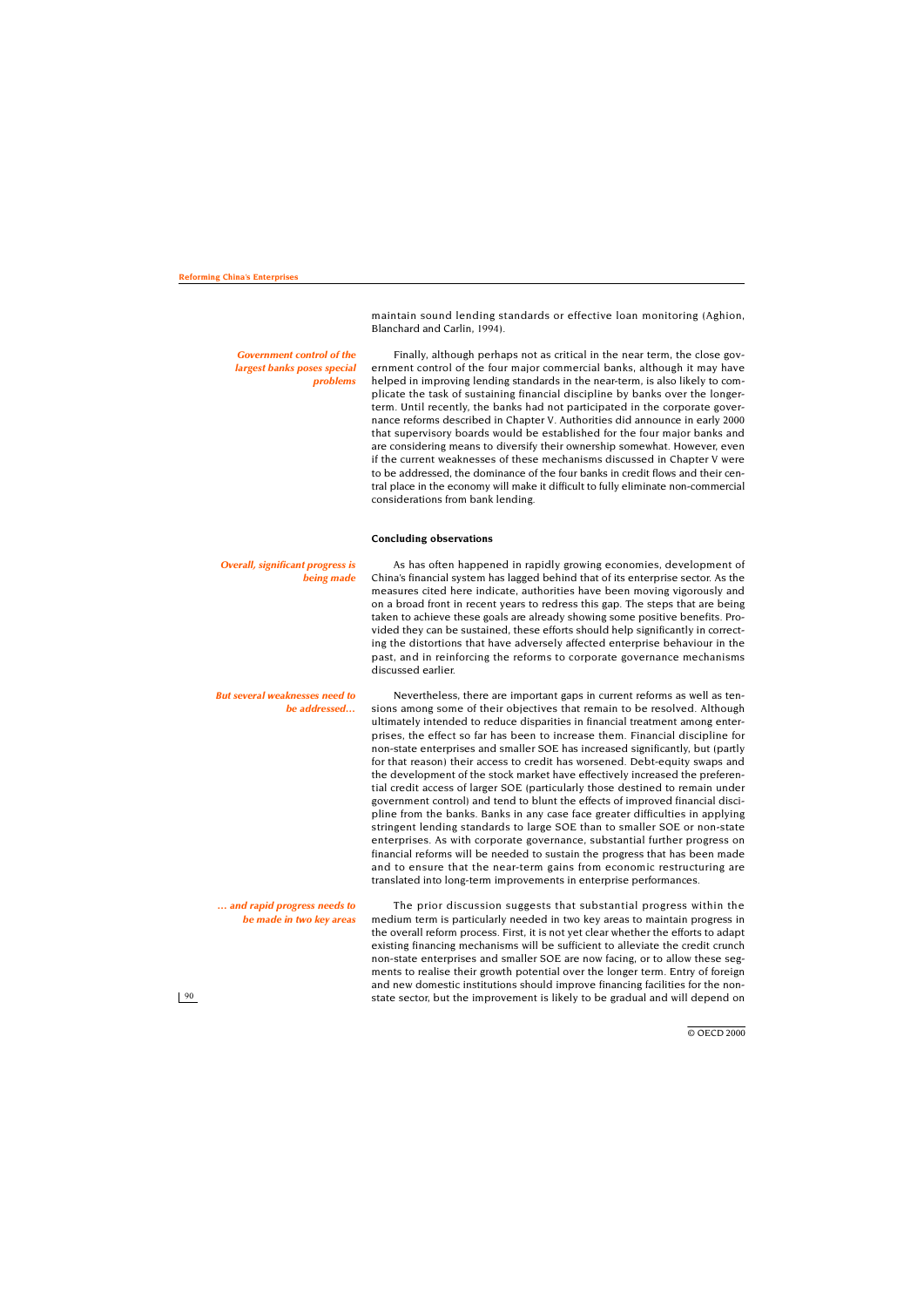*Government control of the largest banks poses special problems*

maintain sound lending standards or effective loan monitoring (Aghion, Blanchard and Carlin, 1994).

Finally, although perhaps not as critical in the near term, the close government control of the four major commercial banks, although it may have helped in improving lending standards in the near-term, is also likely to complicate the task of sustaining financial discipline by banks over the longerterm. Until recently, the banks had not participated in the corporate governance reforms described in Chapter V. Authorities did announce in early 2000 that supervisory boards would be established for the four major banks and are considering means to diversify their ownership somewhat. However, even if the current weaknesses of these mechanisms discussed in Chapter V were to be addressed, the dominance of the four banks in credit flows and their central place in the economy will make it difficult to fully eliminate non-commercial considerations from bank lending.

#### **Concluding observations**

*Overall, significant progress is being made* As has often happened in rapidly growing economies, development of China's financial system has lagged behind that of its enterprise sector. As the measures cited here indicate, authorities have been moving vigorously and on a broad front in recent years to redress this gap. The steps that are being taken to achieve these goals are already showing some positive benefits. Provided they can be sustained, these efforts should help significantly in correcting the distortions that have adversely affected enterprise behaviour in the past, and in reinforcing the reforms to corporate governance mechanisms discussed earlier.

> Nevertheless, there are important gaps in current reforms as well as tensions among some of their objectives that remain to be resolved. Although ultimately intended to reduce disparities in financial treatment among enterprises, the effect so far has been to increase them. Financial discipline for non-state enterprises and smaller SOE has increased significantly, but (partly for that reason) their access to credit has worsened. Debt-equity swaps and the development of the stock market have effectively increased the preferential credit access of larger SOE (particularly those destined to remain under government control) and tend to blunt the effects of improved financial discipline from the banks. Banks in any case face greater difficulties in applying stringent lending standards to large SOE than to smaller SOE or non-state enterprises. As with corporate governance, substantial further progress on financial reforms will be needed to sustain the progress that has been made and to ensure that the near-term gains from economic restructuring are translated into long-term improvements in enterprise performances.

> The prior discussion suggests that substantial progress within the medium term is particularly needed in two key areas to maintain progress in the overall reform process. First, it is not yet clear whether the efforts to adapt existing financing mechanisms will be sufficient to alleviate the credit crunch non-state enterprises and smaller SOE are now facing, or to allow these segments to realise their growth potential over the longer term. Entry of foreign and new domestic institutions should improve financing facilities for the nonstate sector, but the improvement is likely to be gradual and will depend on

*But several weaknesses need to be addressed…*

*… and rapid progress needs to be made in two key areas*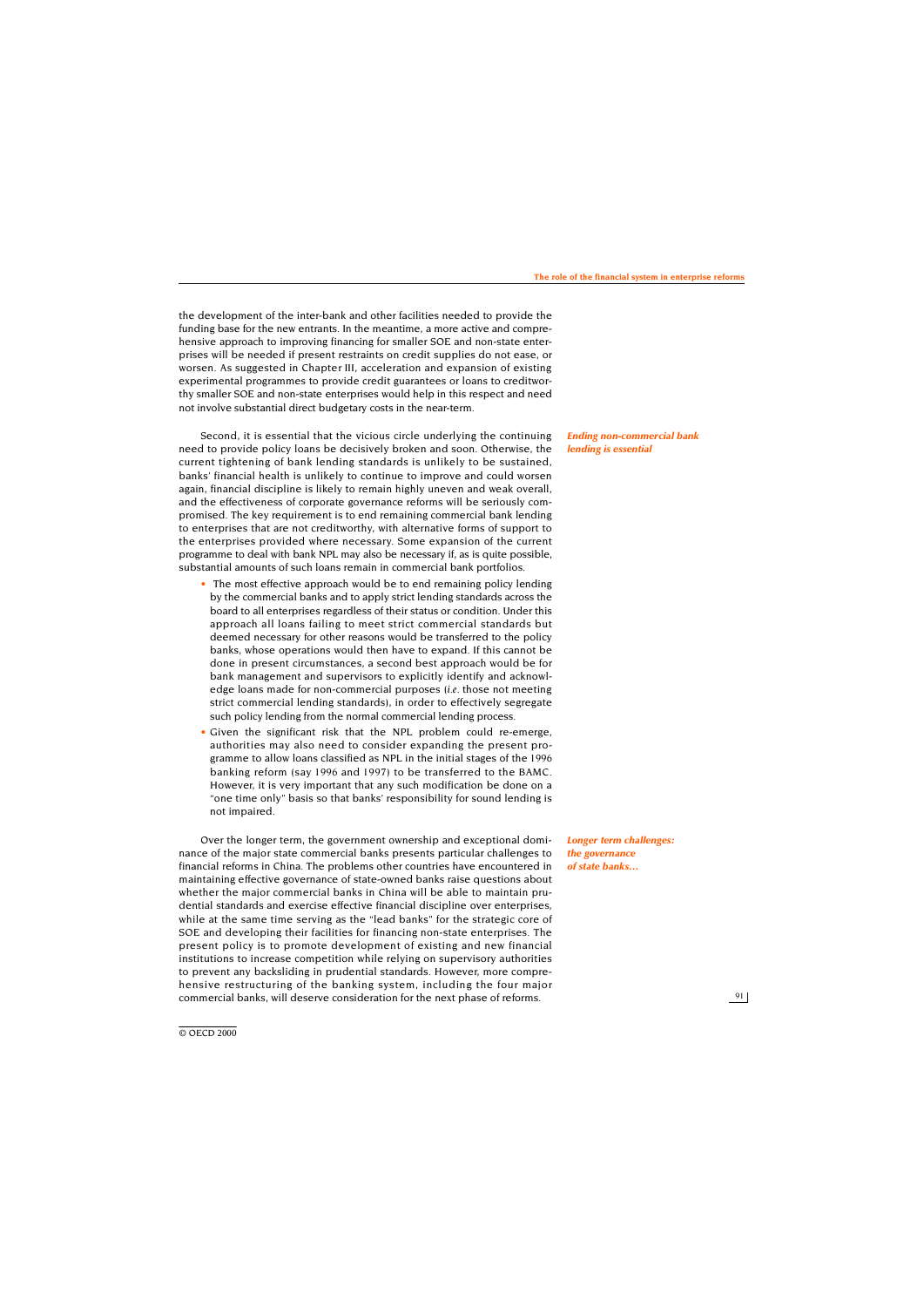the development of the inter-bank and other facilities needed to provide the funding base for the new entrants. In the meantime, a more active and comprehensive approach to improving financing for smaller SOE and non-state enterprises will be needed if present restraints on credit supplies do not ease, or worsen. As suggested in Chapter III, acceleration and expansion of existing experimental programmes to provide credit guarantees or loans to creditworthy smaller SOE and non-state enterprises would help in this respect and need not involve substantial direct budgetary costs in the near-term.

Second, it is essential that the vicious circle underlying the continuing need to provide policy loans be decisively broken and soon. Otherwise, the current tightening of bank lending standards is unlikely to be sustained, banks' financial health is unlikely to continue to improve and could worsen again, financial discipline is likely to remain highly uneven and weak overall, and the effectiveness of corporate governance reforms will be seriously compromised. The key requirement is to end remaining commercial bank lending to enterprises that are not creditworthy, with alternative forms of support to the enterprises provided where necessary. Some expansion of the current programme to deal with bank NPL may also be necessary if, as is quite possible, substantial amounts of such loans remain in commercial bank portfolios.

- The most effective approach would be to end remaining policy lending by the commercial banks and to apply strict lending standards across the board to all enterprises regardless of their status or condition. Under this approach all loans failing to meet strict commercial standards but deemed necessary for other reasons would be transferred to the policy banks, whose operations would then have to expand. If this cannot be done in present circumstances, a second best approach would be for bank management and supervisors to explicitly identify and acknowledge loans made for non-commercial purposes (*i.e.* those not meeting strict commercial lending standards), in order to effectively segregate such policy lending from the normal commercial lending process.
- Given the significant risk that the NPL problem could re-emerge, authorities may also need to consider expanding the present programme to allow loans classified as NPL in the initial stages of the 1996 banking reform (say 1996 and 1997) to be transferred to the BAMC. However, it is very important that any such modification be done on a "one time only" basis so that banks' responsibility for sound lending is not impaired.

Over the longer term, the government ownership and exceptional dominance of the major state commercial banks presents particular challenges to financial reforms in China. The problems other countries have encountered in maintaining effective governance of state-owned banks raise questions about whether the major commercial banks in China will be able to maintain prudential standards and exercise effective financial discipline over enterprises, while at the same time serving as the "lead banks" for the strategic core of SOE and developing their facilities for financing non-state enterprises. The present policy is to promote development of existing and new financial institutions to increase competition while relying on supervisory authorities to prevent any backsliding in prudential standards. However, more comprehensive restructuring of the banking system, including the four major commercial banks, will deserve consideration for the next phase of reforms.

*Ending non-commercial bank lending is essential*

*Longer term challenges: the governance of state banks…*